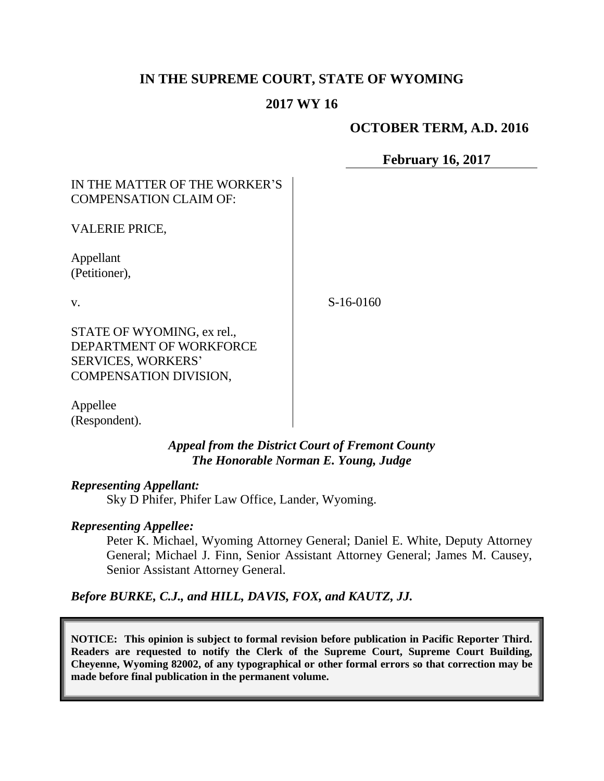# **IN THE SUPREME COURT, STATE OF WYOMING**

# **2017 WY 16**

## **OCTOBER TERM, A.D. 2016**

**February 16, 2017**

## IN THE MATTER OF THE WORKER'S COMPENSATION CLAIM OF:

VALERIE PRICE,

Appellant (Petitioner),

v.

S-16-0160

STATE OF WYOMING, ex rel., DEPARTMENT OF WORKFORCE SERVICES, WORKERS' COMPENSATION DIVISION,

Appellee (Respondent).

> *Appeal from the District Court of Fremont County The Honorable Norman E. Young, Judge*

#### *Representing Appellant:*

Sky D Phifer, Phifer Law Office, Lander, Wyoming.

#### *Representing Appellee:*

Peter K. Michael, Wyoming Attorney General; Daniel E. White, Deputy Attorney General; Michael J. Finn, Senior Assistant Attorney General; James M. Causey, Senior Assistant Attorney General.

*Before BURKE, C.J., and HILL, DAVIS, FOX, and KAUTZ, JJ.*

**NOTICE: This opinion is subject to formal revision before publication in Pacific Reporter Third. Readers are requested to notify the Clerk of the Supreme Court, Supreme Court Building, Cheyenne, Wyoming 82002, of any typographical or other formal errors so that correction may be made before final publication in the permanent volume.**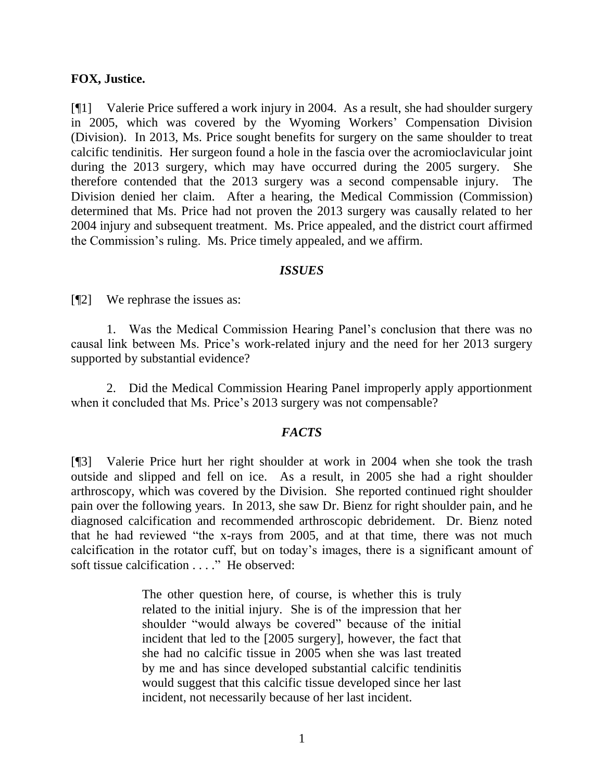### **FOX, Justice.**

[¶1] Valerie Price suffered a work injury in 2004. As a result, she had shoulder surgery in 2005, which was covered by the Wyoming Workers' Compensation Division (Division). In 2013, Ms. Price sought benefits for surgery on the same shoulder to treat calcific tendinitis. Her surgeon found a hole in the fascia over the acromioclavicular joint during the 2013 surgery, which may have occurred during the 2005 surgery. She therefore contended that the 2013 surgery was a second compensable injury. The Division denied her claim. After a hearing, the Medical Commission (Commission) determined that Ms. Price had not proven the 2013 surgery was causally related to her 2004 injury and subsequent treatment. Ms. Price appealed, and the district court affirmed the Commission's ruling. Ms. Price timely appealed, and we affirm.

### *ISSUES*

[¶2] We rephrase the issues as:

1. Was the Medical Commission Hearing Panel's conclusion that there was no causal link between Ms. Price's work-related injury and the need for her 2013 surgery supported by substantial evidence?

2. Did the Medical Commission Hearing Panel improperly apply apportionment when it concluded that Ms. Price's 2013 surgery was not compensable?

### *FACTS*

[¶3] Valerie Price hurt her right shoulder at work in 2004 when she took the trash outside and slipped and fell on ice. As a result, in 2005 she had a right shoulder arthroscopy, which was covered by the Division. She reported continued right shoulder pain over the following years. In 2013, she saw Dr. Bienz for right shoulder pain, and he diagnosed calcification and recommended arthroscopic debridement. Dr. Bienz noted that he had reviewed "the x-rays from 2005, and at that time, there was not much calcification in the rotator cuff, but on today's images, there is a significant amount of soft tissue calcification . . . ." He observed:

> The other question here, of course, is whether this is truly related to the initial injury. She is of the impression that her shoulder "would always be covered" because of the initial incident that led to the [2005 surgery], however, the fact that she had no calcific tissue in 2005 when she was last treated by me and has since developed substantial calcific tendinitis would suggest that this calcific tissue developed since her last incident, not necessarily because of her last incident.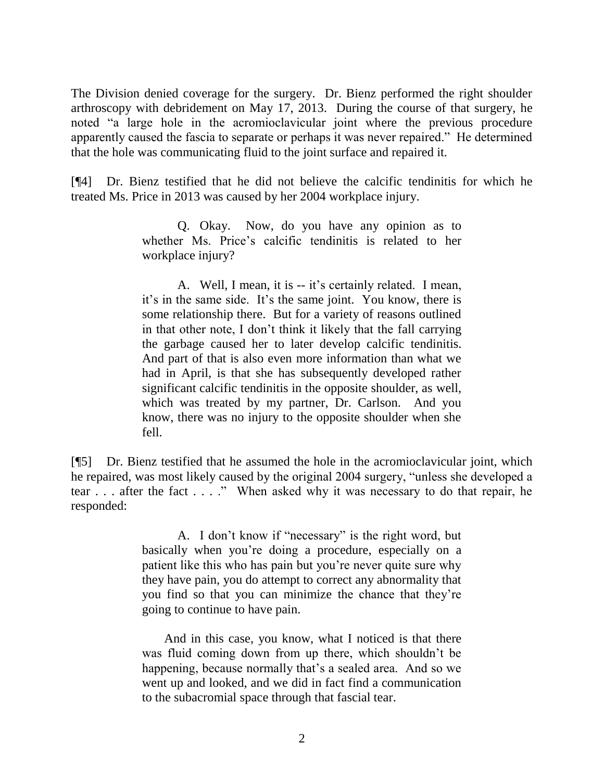The Division denied coverage for the surgery. Dr. Bienz performed the right shoulder arthroscopy with debridement on May 17, 2013. During the course of that surgery, he noted "a large hole in the acromioclavicular joint where the previous procedure apparently caused the fascia to separate or perhaps it was never repaired." He determined that the hole was communicating fluid to the joint surface and repaired it.

[¶4] Dr. Bienz testified that he did not believe the calcific tendinitis for which he treated Ms. Price in 2013 was caused by her 2004 workplace injury.

> Q. Okay. Now, do you have any opinion as to whether Ms. Price's calcific tendinitis is related to her workplace injury?

> A. Well, I mean, it is -- it's certainly related. I mean, it's in the same side. It's the same joint. You know, there is some relationship there. But for a variety of reasons outlined in that other note, I don't think it likely that the fall carrying the garbage caused her to later develop calcific tendinitis. And part of that is also even more information than what we had in April, is that she has subsequently developed rather significant calcific tendinitis in the opposite shoulder, as well, which was treated by my partner, Dr. Carlson. And you know, there was no injury to the opposite shoulder when she fell.

[¶5] Dr. Bienz testified that he assumed the hole in the acromioclavicular joint, which he repaired, was most likely caused by the original 2004 surgery, "unless she developed a tear . . . after the fact . . . ." When asked why it was necessary to do that repair, he responded:

> A. I don't know if "necessary" is the right word, but basically when you're doing a procedure, especially on a patient like this who has pain but you're never quite sure why they have pain, you do attempt to correct any abnormality that you find so that you can minimize the chance that they're going to continue to have pain.

> And in this case, you know, what I noticed is that there was fluid coming down from up there, which shouldn't be happening, because normally that's a sealed area. And so we went up and looked, and we did in fact find a communication to the subacromial space through that fascial tear.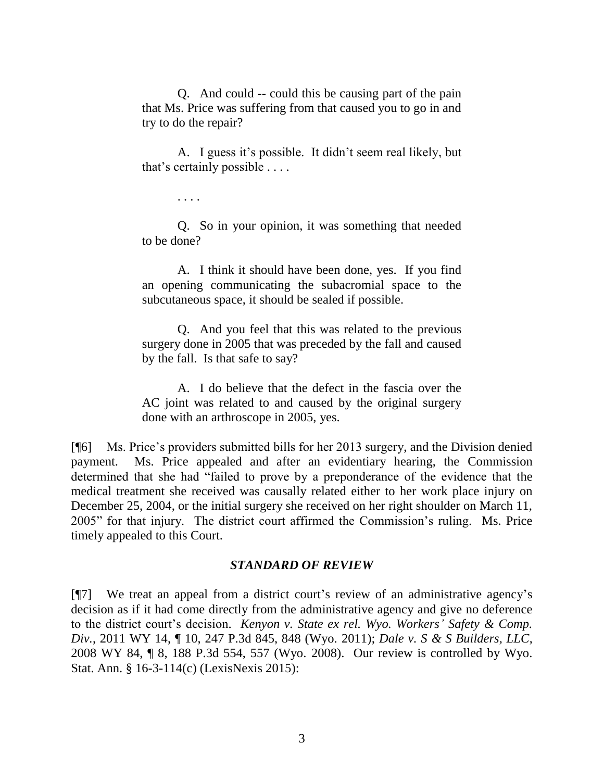Q. And could -- could this be causing part of the pain that Ms. Price was suffering from that caused you to go in and try to do the repair?

A. I guess it's possible. It didn't seem real likely, but that's certainly possible . . . .

. . . .

Q. So in your opinion, it was something that needed to be done?

A. I think it should have been done, yes. If you find an opening communicating the subacromial space to the subcutaneous space, it should be sealed if possible.

Q. And you feel that this was related to the previous surgery done in 2005 that was preceded by the fall and caused by the fall. Is that safe to say?

A. I do believe that the defect in the fascia over the AC joint was related to and caused by the original surgery done with an arthroscope in 2005, yes.

[¶6] Ms. Price's providers submitted bills for her 2013 surgery, and the Division denied payment. Ms. Price appealed and after an evidentiary hearing, the Commission determined that she had "failed to prove by a preponderance of the evidence that the medical treatment she received was causally related either to her work place injury on December 25, 2004, or the initial surgery she received on her right shoulder on March 11, 2005" for that injury. The district court affirmed the Commission's ruling. Ms. Price timely appealed to this Court.

#### *STANDARD OF REVIEW*

[¶7] We treat an appeal from a district court's review of an administrative agency's decision as if it had come directly from the administrative agency and give no deference to the district court's decision. *Kenyon v. State ex rel. Wyo. Workers' Safety & Comp. Div.*, 2011 WY 14, ¶ 10, 247 P.3d 845, 848 (Wyo. 2011); *Dale v. S & S Builders, LLC*, 2008 WY 84, ¶ 8, 188 P.3d 554, 557 (Wyo. 2008). Our review is controlled by Wyo. Stat. Ann. § 16-3-114(c) (LexisNexis 2015):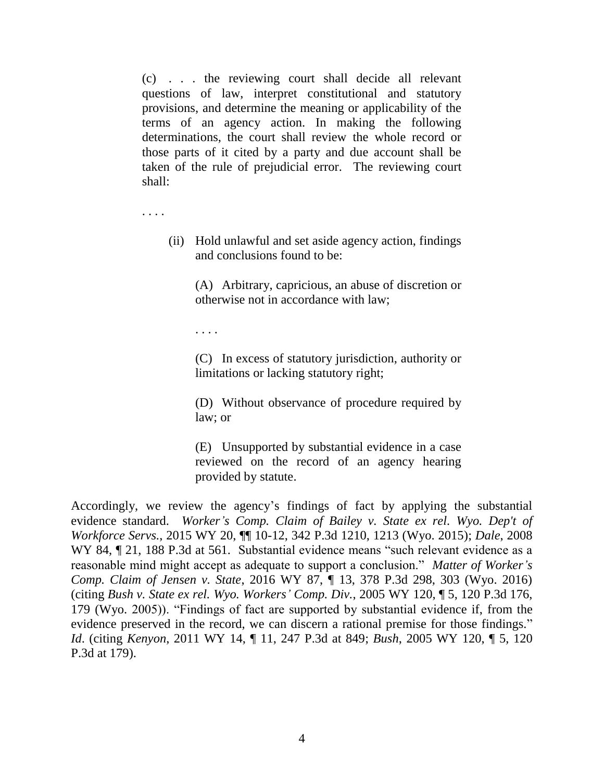(c) . . . the reviewing court shall decide all relevant questions of law, interpret constitutional and statutory provisions, and determine the meaning or applicability of the terms of an agency action. In making the following determinations, the court shall review the whole record or those parts of it cited by a party and due account shall be taken of the rule of prejudicial error. The reviewing court shall:

. . . .

(ii) Hold unlawful and set aside agency action, findings and conclusions found to be:

(A) Arbitrary, capricious, an abuse of discretion or otherwise not in accordance with law;

. . . .

(C) In excess of statutory jurisdiction, authority or limitations or lacking statutory right;

(D) Without observance of procedure required by law; or

(E) Unsupported by substantial evidence in a case reviewed on the record of an agency hearing provided by statute.

Accordingly, we review the agency's findings of fact by applying the substantial evidence standard. *Worker's Comp. Claim of Bailey v. State ex rel. Wyo. Dep't of Workforce Servs.*, 2015 WY 20, ¶¶ 10-12, 342 P.3d 1210, 1213 (Wyo. 2015); *Dale*, 2008 WY 84,  $\sqrt{21}$ , 188 P.3d at 561. Substantial evidence means "such relevant evidence as a reasonable mind might accept as adequate to support a conclusion." *Matter of Worker's Comp. Claim of Jensen v. State*, 2016 WY 87, ¶ 13, 378 P.3d 298, 303 (Wyo. 2016) (citing *Bush v. State ex rel. Wyo. Workers' Comp. Div.*, 2005 WY 120, ¶ 5, 120 P.3d 176, 179 (Wyo. 2005)). "Findings of fact are supported by substantial evidence if, from the evidence preserved in the record, we can discern a rational premise for those findings." *Id*. (citing *Kenyon*, 2011 WY 14, ¶ 11, 247 P.3d at 849; *Bush*, 2005 WY 120, ¶ 5, 120 P.3d at 179).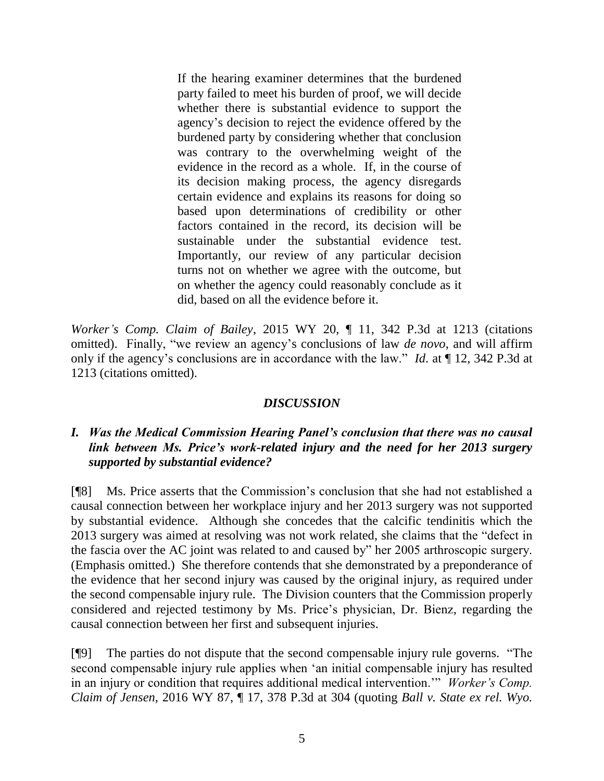If the hearing examiner determines that the burdened party failed to meet his burden of proof, we will decide whether there is substantial evidence to support the agency's decision to reject the evidence offered by the burdened party by considering whether that conclusion was contrary to the overwhelming weight of the evidence in the record as a whole. If, in the course of its decision making process, the agency disregards certain evidence and explains its reasons for doing so based upon determinations of credibility or other factors contained in the record, its decision will be sustainable under the substantial evidence test. Importantly, our review of any particular decision turns not on whether we agree with the outcome, but on whether the agency could reasonably conclude as it did, based on all the evidence before it.

*Worker's Comp. Claim of Bailey*, 2015 WY 20, ¶ 11, 342 P.3d at 1213 (citations omitted). Finally, "we review an agency's conclusions of law *de novo*, and will affirm only if the agency's conclusions are in accordance with the law." *Id*. at ¶ 12, 342 P.3d at 1213 (citations omitted).

### *DISCUSSION*

## *I. Was the Medical Commission Hearing Panel's conclusion that there was no causal link between Ms. Price's work-related injury and the need for her 2013 surgery supported by substantial evidence?*

[¶8] Ms. Price asserts that the Commission's conclusion that she had not established a causal connection between her workplace injury and her 2013 surgery was not supported by substantial evidence. Although she concedes that the calcific tendinitis which the 2013 surgery was aimed at resolving was not work related, she claims that the "defect in the fascia over the AC joint was related to and caused by" her 2005 arthroscopic surgery. (Emphasis omitted.) She therefore contends that she demonstrated by a preponderance of the evidence that her second injury was caused by the original injury, as required under the second compensable injury rule. The Division counters that the Commission properly considered and rejected testimony by Ms. Price's physician, Dr. Bienz, regarding the causal connection between her first and subsequent injuries.

[¶9] The parties do not dispute that the second compensable injury rule governs. "The second compensable injury rule applies when 'an initial compensable injury has resulted in an injury or condition that requires additional medical intervention.'" *Worker's Comp. Claim of Jensen*, 2016 WY 87, ¶ 17, 378 P.3d at 304 (quoting *Ball v. State ex rel. Wyo.*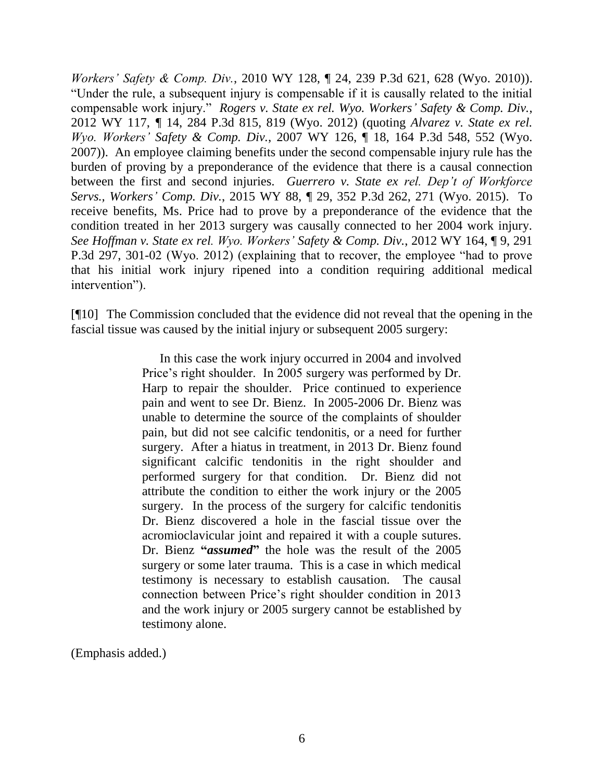*Workers' Safety & Comp. Div.*, 2010 WY 128, ¶ 24, 239 P.3d 621, 628 (Wyo. 2010)). "Under the rule, a subsequent injury is compensable if it is causally related to the initial compensable work injury." *Rogers v. State ex rel. Wyo. Workers' Safety & Comp. Div.*, 2012 WY 117, *¶* 14, 284 P.3d 815, 819 (Wyo. 2012) (quoting *Alvarez v. State ex rel. Wyo. Workers' Safety & Comp. Div.*, 2007 WY 126, ¶ 18, 164 P.3d 548, 552 (Wyo. 2007)). An employee claiming benefits under the second compensable injury rule has the burden of proving by a preponderance of the evidence that there is a causal connection between the first and second injuries. *Guerrero v. State ex rel. Dep't of Workforce Servs., Workers' Comp. Div.*, 2015 WY 88, ¶ 29, 352 P.3d 262, 271 (Wyo. 2015). To receive benefits, Ms. Price had to prove by a preponderance of the evidence that the condition treated in her 2013 surgery was causally connected to her 2004 work injury. *See Hoffman v. State ex rel. Wyo. Workers' Safety & Comp. Div.*, 2012 WY 164, ¶ 9, 291 P.3d 297, 301-02 (Wyo. 2012) (explaining that to recover, the employee "had to prove that his initial work injury ripened into a condition requiring additional medical intervention").

[¶10] The Commission concluded that the evidence did not reveal that the opening in the fascial tissue was caused by the initial injury or subsequent 2005 surgery:

> In this case the work injury occurred in 2004 and involved Price's right shoulder. In 2005 surgery was performed by Dr. Harp to repair the shoulder. Price continued to experience pain and went to see Dr. Bienz. In 2005-2006 Dr. Bienz was unable to determine the source of the complaints of shoulder pain, but did not see calcific tendonitis, or a need for further surgery. After a hiatus in treatment, in 2013 Dr. Bienz found significant calcific tendonitis in the right shoulder and performed surgery for that condition. Dr. Bienz did not attribute the condition to either the work injury or the 2005 surgery. In the process of the surgery for calcific tendonitis Dr. Bienz discovered a hole in the fascial tissue over the acromioclavicular joint and repaired it with a couple sutures. Dr. Bienz **"***assumed***"** the hole was the result of the 2005 surgery or some later trauma. This is a case in which medical testimony is necessary to establish causation. The causal connection between Price's right shoulder condition in 2013 and the work injury or 2005 surgery cannot be established by testimony alone.

(Emphasis added.)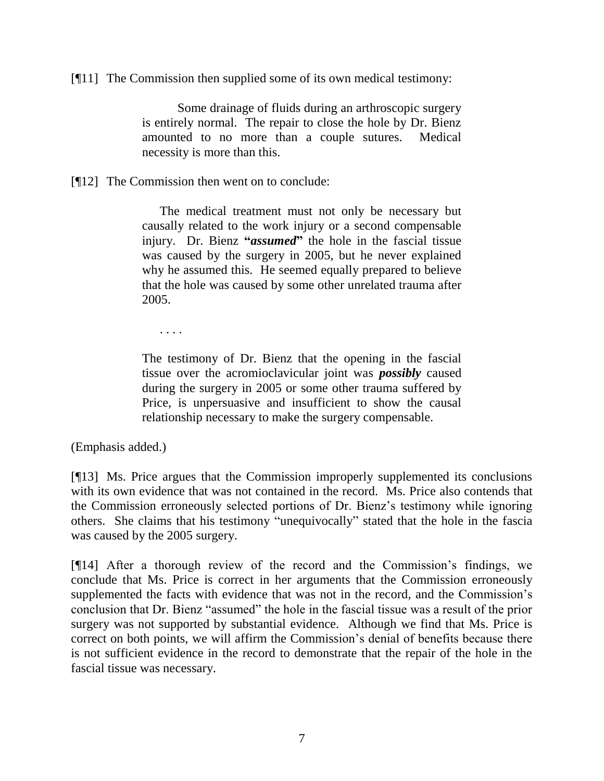[¶11] The Commission then supplied some of its own medical testimony:

Some drainage of fluids during an arthroscopic surgery is entirely normal. The repair to close the hole by Dr. Bienz amounted to no more than a couple sutures. Medical necessity is more than this.

[¶12] The Commission then went on to conclude:

The medical treatment must not only be necessary but causally related to the work injury or a second compensable injury. Dr. Bienz **"***assumed***"** the hole in the fascial tissue was caused by the surgery in 2005, but he never explained why he assumed this. He seemed equally prepared to believe that the hole was caused by some other unrelated trauma after 2005.

. . . .

The testimony of Dr. Bienz that the opening in the fascial tissue over the acromioclavicular joint was *possibly* caused during the surgery in 2005 or some other trauma suffered by Price, is unpersuasive and insufficient to show the causal relationship necessary to make the surgery compensable.

(Emphasis added.)

[¶13] Ms. Price argues that the Commission improperly supplemented its conclusions with its own evidence that was not contained in the record. Ms. Price also contends that the Commission erroneously selected portions of Dr. Bienz's testimony while ignoring others. She claims that his testimony "unequivocally" stated that the hole in the fascia was caused by the 2005 surgery.

[¶14] After a thorough review of the record and the Commission's findings, we conclude that Ms. Price is correct in her arguments that the Commission erroneously supplemented the facts with evidence that was not in the record, and the Commission's conclusion that Dr. Bienz "assumed" the hole in the fascial tissue was a result of the prior surgery was not supported by substantial evidence. Although we find that Ms. Price is correct on both points, we will affirm the Commission's denial of benefits because there is not sufficient evidence in the record to demonstrate that the repair of the hole in the fascial tissue was necessary.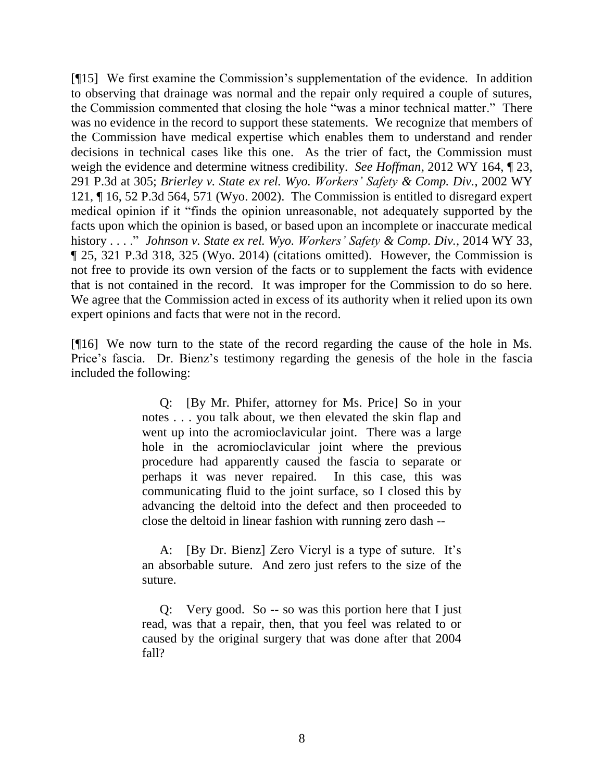[¶15] We first examine the Commission's supplementation of the evidence. In addition to observing that drainage was normal and the repair only required a couple of sutures, the Commission commented that closing the hole "was a minor technical matter." There was no evidence in the record to support these statements. We recognize that members of the Commission have medical expertise which enables them to understand and render decisions in technical cases like this one. As the trier of fact, the Commission must weigh the evidence and determine witness credibility. *See Hoffman*, 2012 WY 164, ¶ 23, 291 P.3d at 305; *Brierley v. State ex rel. Wyo. Workers' Safety & Comp. Div.*, 2002 WY 121, ¶ 16, 52 P.3d 564, 571 (Wyo. 2002). The Commission is entitled to disregard expert medical opinion if it "finds the opinion unreasonable, not adequately supported by the facts upon which the opinion is based, or based upon an incomplete or inaccurate medical history . . . ." *Johnson v. State ex rel. Wyo. Workers' Safety & Comp. Div.*, 2014 WY 33, ¶ 25, 321 P.3d 318, 325 (Wyo. 2014) (citations omitted). However, the Commission is not free to provide its own version of the facts or to supplement the facts with evidence that is not contained in the record. It was improper for the Commission to do so here. We agree that the Commission acted in excess of its authority when it relied upon its own expert opinions and facts that were not in the record.

[¶16] We now turn to the state of the record regarding the cause of the hole in Ms. Price's fascia. Dr. Bienz's testimony regarding the genesis of the hole in the fascia included the following:

> Q: [By Mr. Phifer, attorney for Ms. Price] So in your notes . . . you talk about, we then elevated the skin flap and went up into the acromioclavicular joint. There was a large hole in the acromioclavicular joint where the previous procedure had apparently caused the fascia to separate or perhaps it was never repaired. In this case, this was communicating fluid to the joint surface, so I closed this by advancing the deltoid into the defect and then proceeded to close the deltoid in linear fashion with running zero dash --

> A: [By Dr. Bienz] Zero Vicryl is a type of suture. It's an absorbable suture. And zero just refers to the size of the suture.

> Q: Very good. So -- so was this portion here that I just read, was that a repair, then, that you feel was related to or caused by the original surgery that was done after that 2004 fall?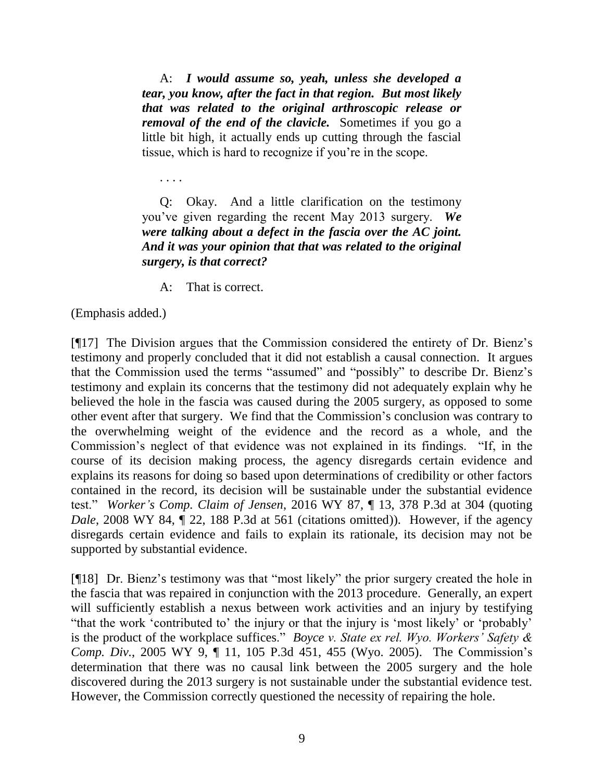A: *I would assume so, yeah, unless she developed a tear, you know, after the fact in that region. But most likely that was related to the original arthroscopic release or removal of the end of the clavicle.* Sometimes if you go a little bit high, it actually ends up cutting through the fascial tissue, which is hard to recognize if you're in the scope.

. . . .

Q: Okay. And a little clarification on the testimony you've given regarding the recent May 2013 surgery. *We were talking about a defect in the fascia over the AC joint. And it was your opinion that that was related to the original surgery, is that correct?*

A: That is correct.

(Emphasis added.)

[¶17] The Division argues that the Commission considered the entirety of Dr. Bienz's testimony and properly concluded that it did not establish a causal connection. It argues that the Commission used the terms "assumed" and "possibly" to describe Dr. Bienz's testimony and explain its concerns that the testimony did not adequately explain why he believed the hole in the fascia was caused during the 2005 surgery, as opposed to some other event after that surgery. We find that the Commission's conclusion was contrary to the overwhelming weight of the evidence and the record as a whole, and the Commission's neglect of that evidence was not explained in its findings. "If, in the course of its decision making process, the agency disregards certain evidence and explains its reasons for doing so based upon determinations of credibility or other factors contained in the record, its decision will be sustainable under the substantial evidence test." *Worker's Comp. Claim of Jensen*, 2016 WY 87, ¶ 13, 378 P.3d at 304 (quoting *Dale*, 2008 WY 84,  $\parallel$  22, 188 P.3d at 561 (citations omitted)). However, if the agency disregards certain evidence and fails to explain its rationale, its decision may not be supported by substantial evidence.

[¶18] Dr. Bienz's testimony was that "most likely" the prior surgery created the hole in the fascia that was repaired in conjunction with the 2013 procedure. Generally, an expert will sufficiently establish a nexus between work activities and an injury by testifying "that the work 'contributed to' the injury or that the injury is 'most likely' or 'probably' is the product of the workplace suffices." *Boyce v. State ex rel. Wyo. Workers' Safety & Comp. Div.*, 2005 WY 9, ¶ 11, 105 P.3d 451, 455 (Wyo. 2005). The Commission's determination that there was no causal link between the 2005 surgery and the hole discovered during the 2013 surgery is not sustainable under the substantial evidence test. However, the Commission correctly questioned the necessity of repairing the hole.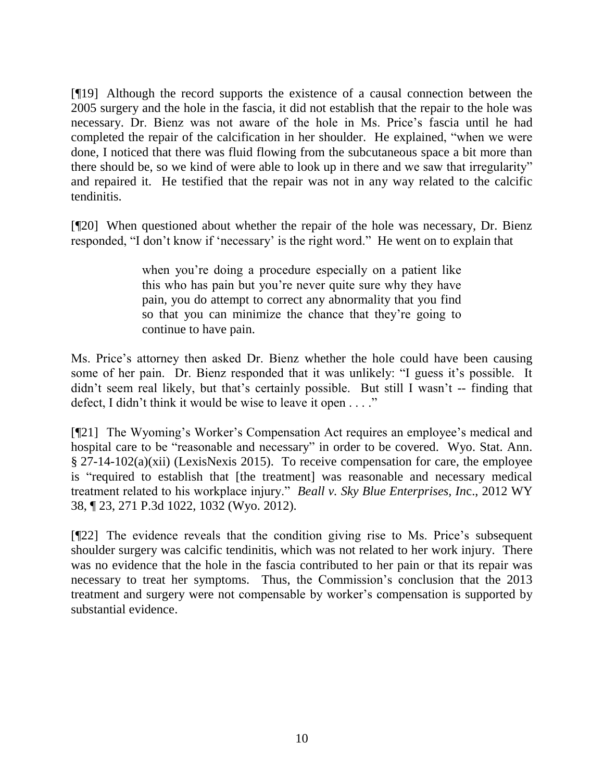[¶19] Although the record supports the existence of a causal connection between the 2005 surgery and the hole in the fascia, it did not establish that the repair to the hole was necessary. Dr. Bienz was not aware of the hole in Ms. Price's fascia until he had completed the repair of the calcification in her shoulder. He explained, "when we were done, I noticed that there was fluid flowing from the subcutaneous space a bit more than there should be, so we kind of were able to look up in there and we saw that irregularity" and repaired it. He testified that the repair was not in any way related to the calcific tendinitis.

[¶20] When questioned about whether the repair of the hole was necessary, Dr. Bienz responded, "I don't know if 'necessary' is the right word." He went on to explain that

> when you're doing a procedure especially on a patient like this who has pain but you're never quite sure why they have pain, you do attempt to correct any abnormality that you find so that you can minimize the chance that they're going to continue to have pain.

Ms. Price's attorney then asked Dr. Bienz whether the hole could have been causing some of her pain. Dr. Bienz responded that it was unlikely: "I guess it's possible. It didn't seem real likely, but that's certainly possible. But still I wasn't -- finding that defect, I didn't think it would be wise to leave it open . . . ."

[¶21] The Wyoming's Worker's Compensation Act requires an employee's medical and hospital care to be "reasonable and necessary" in order to be covered. Wyo. Stat. Ann. § 27-14-102(a)(xii) (LexisNexis 2015). To receive compensation for care, the employee is "required to establish that [the treatment] was reasonable and necessary medical treatment related to his workplace injury." *Beall v. Sky Blue Enterprises, In*c., 2012 WY 38, ¶ 23, 271 P.3d 1022, 1032 (Wyo. 2012).

[¶22] The evidence reveals that the condition giving rise to Ms. Price's subsequent shoulder surgery was calcific tendinitis, which was not related to her work injury. There was no evidence that the hole in the fascia contributed to her pain or that its repair was necessary to treat her symptoms. Thus, the Commission's conclusion that the 2013 treatment and surgery were not compensable by worker's compensation is supported by substantial evidence.